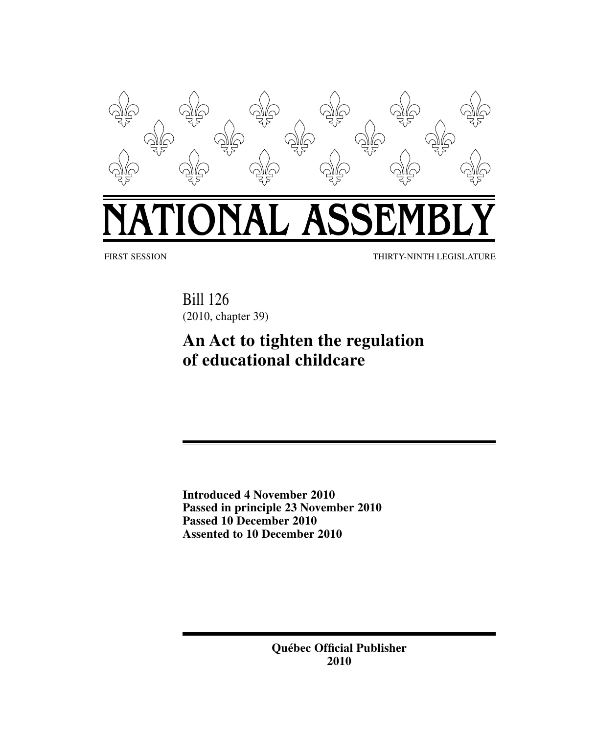

# NAL ASSI F,

FIRST SESSION THIRTY-NINTH LEGISLATURE

Bill 126 (2010, chapter 39)

# **An Act to tighten the regulation of educational childcare**

**Introduced 4 November 2010 Passed in principle 23 November 2010 Passed 10 December 2010 Assented to 10 December 2010**

> **Québec Official Publisher 2010**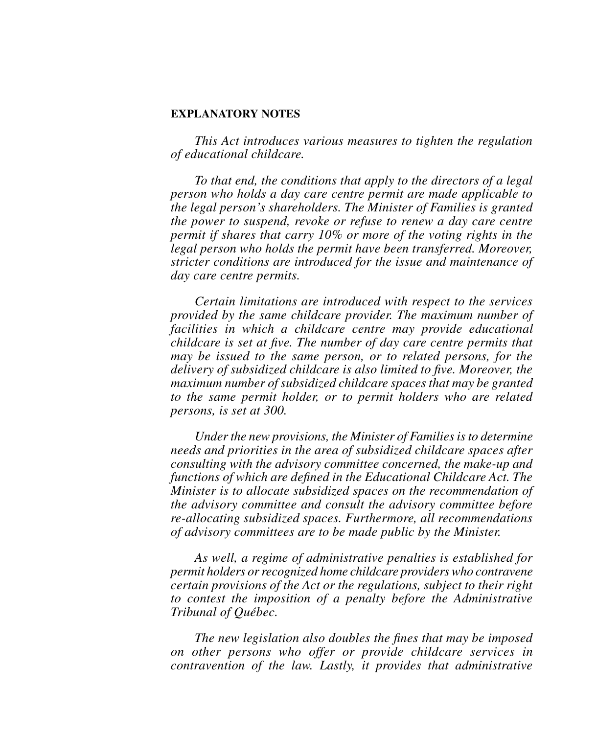# **EXPLANATORY NOTES**

*This Act introduces various measures to tighten the regulation of educational childcare.*

*To that end, the conditions that apply to the directors of a legal person who holds a day care centre permit are made applicable to the legal person's shareholders. The Minister of Families is granted the power to suspend, revoke or refuse to renew a day care centre permit if shares that carry 10% or more of the voting rights in the legal person who holds the permit have been transferred. Moreover, stricter conditions are introduced for the issue and maintenance of day care centre permits.*

*Certain limitations are introduced with respect to the services provided by the same childcare provider. The maximum number of facilities in which a childcare centre may provide educational childcare is set at five. The number of day care centre permits that may be issued to the same person, or to related persons, for the delivery of subsidized childcare is also limited to five. Moreover, the maximum number of subsidized childcare spaces that may be granted to the same permit holder, or to permit holders who are related persons, is set at 300.*

*Under the new provisions, the Minister of Families is to determine needs and priorities in the area of subsidized childcare spaces after consulting with the advisory committee concerned, the make-up and functions of which are defined in the Educational Childcare Act. The Minister is to allocate subsidized spaces on the recommendation of the advisory committee and consult the advisory committee before re-allocating subsidized spaces. Furthermore, all recommendations of advisory committees are to be made public by the Minister.*

*As well, a regime of administrative penalties is established for permit holders or recognized home childcare providers who contravene certain provisions of the Act or the regulations, subject to their right to contest the imposition of a penalty before the Administrative Tribunal of Québec.* 

*The new legislation also doubles the fines that may be imposed on other persons who offer or provide childcare services in contravention of the law. Lastly, it provides that administrative*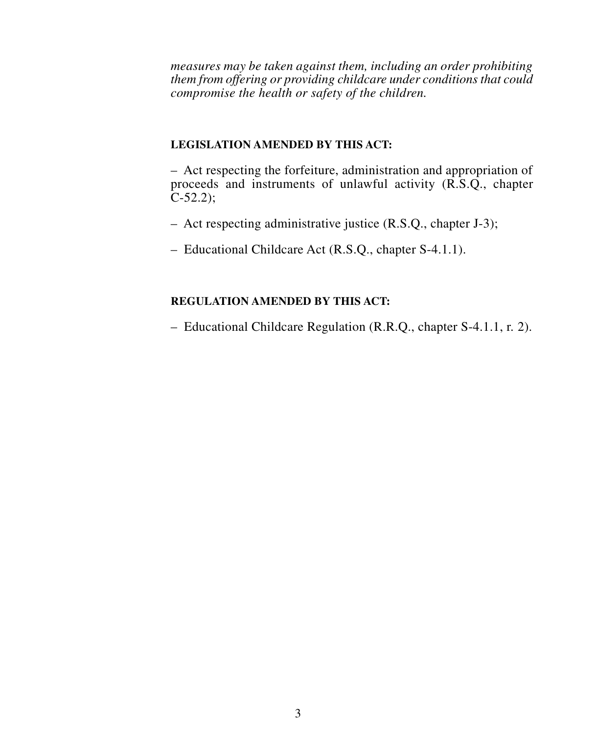*measures may be taken against them, including an order prohibiting them from offering or providing childcare under conditions that could compromise the health or safety of the children.*

# **LEGISLATION AMENDED BY THIS ACT:**

– Act respecting the forfeiture, administration and appropriation of proceeds and instruments of unlawful activity (R.S.Q., chapter  $C-52.2$ ;

- Act respecting administrative justice (R.S.Q., chapter J-3);
- Educational Childcare Act (R.S.Q., chapter S-4.1.1).

# **REGULATION AMENDED BY THIS ACT:**

– Educational Childcare Regulation (R.R.Q., chapter S-4.1.1, r. 2).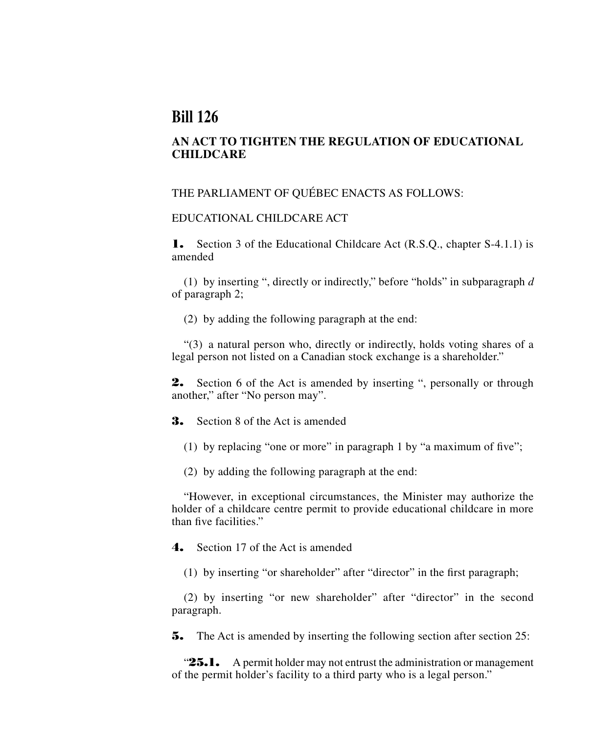# **Bill 126**

# **AN ACT TO TIGHTEN THE REGULATION OF EDUCATIONAL CHILDCARE**

# THE PARLIAMENT OF QUÉBEC ENACTS AS FOLLOWS:

# EDUCATIONAL CHILDCARE ACT

1. Section 3 of the Educational Childcare Act (R.S.Q., chapter S-4.1.1) is amended

(1) by inserting ", directly or indirectly," before "holds" in subparagraph *d* of paragraph 2;

(2) by adding the following paragraph at the end:

"(3) a natural person who, directly or indirectly, holds voting shares of a legal person not listed on a Canadian stock exchange is a shareholder."

2. Section 6 of the Act is amended by inserting ", personally or through another," after "No person may".

3. Section 8 of the Act is amended

- (1) by replacing "one or more" in paragraph 1 by "a maximum of five";
- (2) by adding the following paragraph at the end:

"However, in exceptional circumstances, the Minister may authorize the holder of a childcare centre permit to provide educational childcare in more than five facilities."

4. Section 17 of the Act is amended

(1) by inserting "or shareholder" after "director" in the first paragraph;

(2) by inserting "or new shareholder" after "director" in the second paragraph.

**5.** The Act is amended by inserting the following section after section 25:

" $25.1.$  A permit holder may not entrust the administration or management of the permit holder's facility to a third party who is a legal person."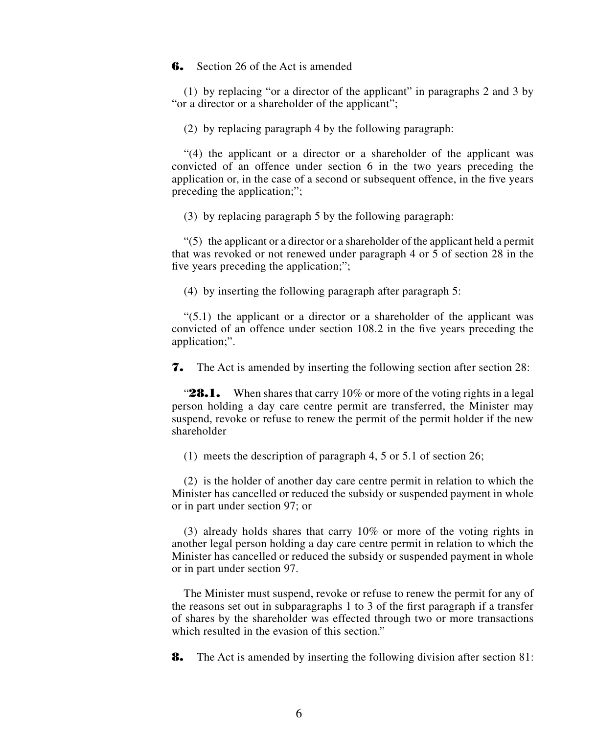# **6.** Section 26 of the Act is amended

(1) by replacing "or a director of the applicant" in paragraphs 2 and 3 by "or a director or a shareholder of the applicant";

(2) by replacing paragraph 4 by the following paragraph:

"(4) the applicant or a director or a shareholder of the applicant was convicted of an offence under section 6 in the two years preceding the application or, in the case of a second or subsequent offence, in the five years preceding the application;";

(3) by replacing paragraph 5 by the following paragraph:

 $(5)$  the applicant or a director or a shareholder of the applicant held a permit that was revoked or not renewed under paragraph 4 or 5 of section 28 in the five years preceding the application;";

(4) by inserting the following paragraph after paragraph 5:

 $(5.1)$  the applicant or a director or a shareholder of the applicant was convicted of an offence under section 108.2 in the five years preceding the application;".

7. The Act is amended by inserting the following section after section 28:

" $28.1.$  When shares that carry 10% or more of the voting rights in a legal person holding a day care centre permit are transferred, the Minister may suspend, revoke or refuse to renew the permit of the permit holder if the new shareholder

(1) meets the description of paragraph 4, 5 or 5.1 of section 26;

(2) is the holder of another day care centre permit in relation to which the Minister has cancelled or reduced the subsidy or suspended payment in whole or in part under section 97; or

(3) already holds shares that carry 10% or more of the voting rights in another legal person holding a day care centre permit in relation to which the Minister has cancelled or reduced the subsidy or suspended payment in whole or in part under section 97.

The Minister must suspend, revoke or refuse to renew the permit for any of the reasons set out in subparagraphs 1 to 3 of the first paragraph if a transfer of shares by the shareholder was effected through two or more transactions which resulted in the evasion of this section."

**8.** The Act is amended by inserting the following division after section 81: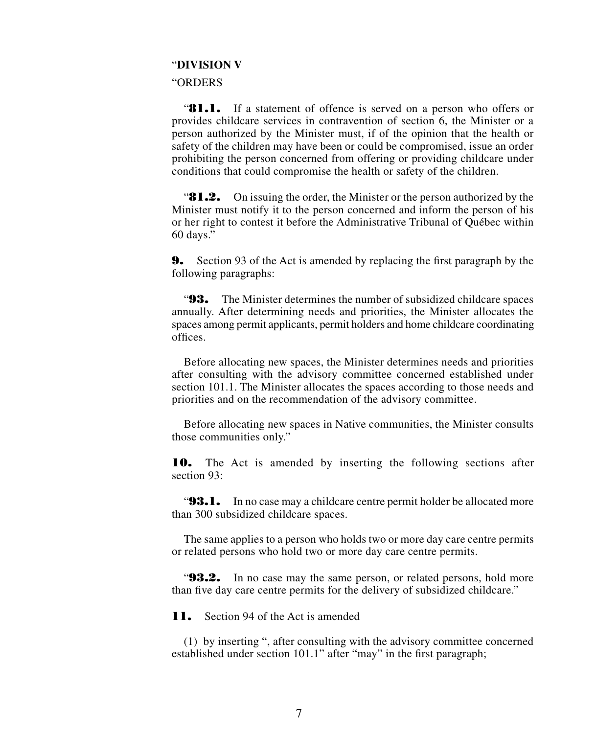### "**DIVISION V**

#### "ORDERS

"**81.1.** If a statement of offence is served on a person who offers or provides childcare services in contravention of section 6, the Minister or a person authorized by the Minister must, if of the opinion that the health or safety of the children may have been or could be compromised, issue an order prohibiting the person concerned from offering or providing childcare under conditions that could compromise the health or safety of the children.

**81.2.** On issuing the order, the Minister or the person authorized by the Minister must notify it to the person concerned and inform the person of his or her right to contest it before the Administrative Tribunal of Québec within 60 days."

9. Section 93 of the Act is amended by replacing the first paragraph by the following paragraphs:

"93. The Minister determines the number of subsidized childcare spaces annually. After determining needs and priorities, the Minister allocates the spaces among permit applicants, permit holders and home childcare coordinating offices.

Before allocating new spaces, the Minister determines needs and priorities after consulting with the advisory committee concerned established under section 101.1. The Minister allocates the spaces according to those needs and priorities and on the recommendation of the advisory committee.

Before allocating new spaces in Native communities, the Minister consults those communities only."

10. The Act is amended by inserting the following sections after section 93:

"**93.1.** In no case may a childcare centre permit holder be allocated more than 300 subsidized childcare spaces.

The same applies to a person who holds two or more day care centre permits or related persons who hold two or more day care centre permits.

"**93.2.** In no case may the same person, or related persons, hold more than five day care centre permits for the delivery of subsidized childcare."

**11.** Section 94 of the Act is amended

(1) by inserting ", after consulting with the advisory committee concerned established under section 101.1" after "may" in the first paragraph;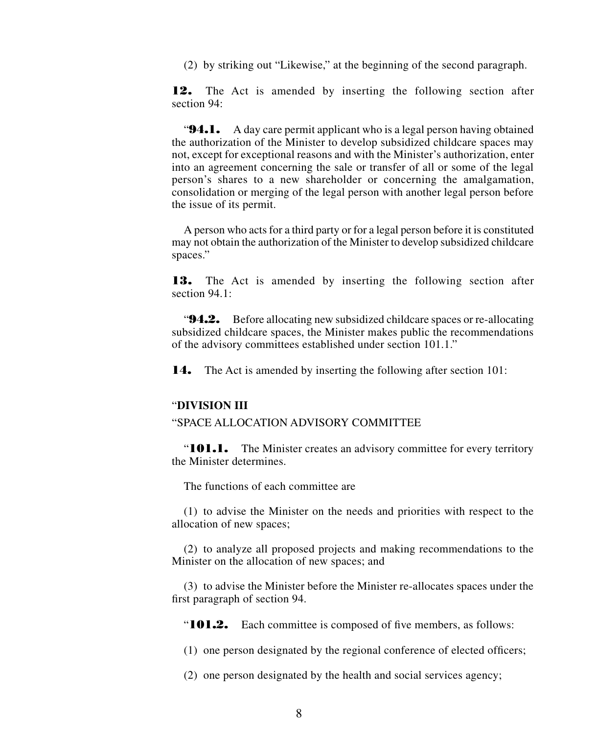(2) by striking out "Likewise," at the beginning of the second paragraph.

12. The Act is amended by inserting the following section after section 94:

"**94.1.** A day care permit applicant who is a legal person having obtained the authorization of the Minister to develop subsidized childcare spaces may not, except for exceptional reasons and with the Minister's authorization, enter into an agreement concerning the sale or transfer of all or some of the legal person's shares to a new shareholder or concerning the amalgamation, consolidation or merging of the legal person with another legal person before the issue of its permit.

A person who acts for a third party or for a legal person before it is constituted may not obtain the authorization of the Minister to develop subsidized childcare spaces."

13. The Act is amended by inserting the following section after section 94.1:

"94.2. Before allocating new subsidized childcare spaces or re-allocating subsidized childcare spaces, the Minister makes public the recommendations of the advisory committees established under section 101.1."

14. The Act is amended by inserting the following after section 101:

### "**DIVISION III**

#### "SPACE ALLOCATION ADVISORY COMMITTEE

"**101.1.** The Minister creates an advisory committee for every territory the Minister determines.

The functions of each committee are

(1) to advise the Minister on the needs and priorities with respect to the allocation of new spaces;

(2) to analyze all proposed projects and making recommendations to the Minister on the allocation of new spaces; and

(3) to advise the Minister before the Minister re-allocates spaces under the first paragraph of section 94.

"101.2. Each committee is composed of five members, as follows:

(1) one person designated by the regional conference of elected officers;

(2) one person designated by the health and social services agency;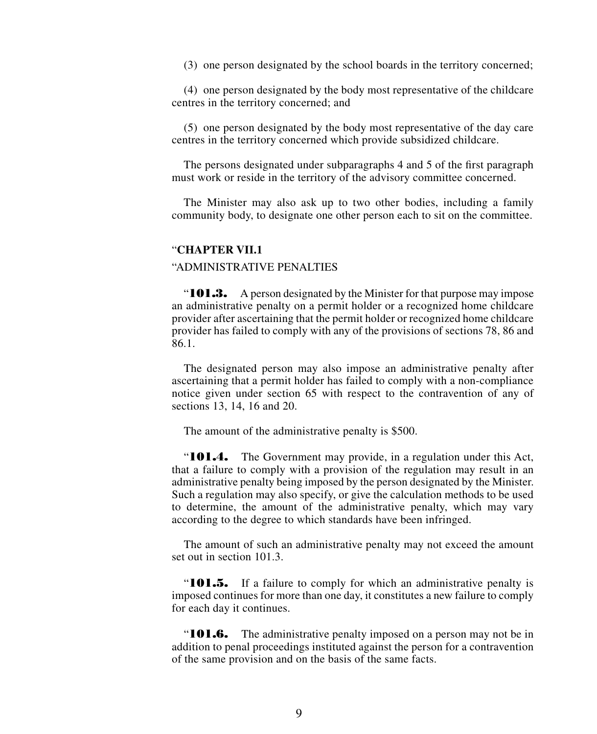(3) one person designated by the school boards in the territory concerned;

(4) one person designated by the body most representative of the childcare centres in the territory concerned; and

(5) one person designated by the body most representative of the day care centres in the territory concerned which provide subsidized childcare.

The persons designated under subparagraphs 4 and 5 of the first paragraph must work or reside in the territory of the advisory committee concerned.

The Minister may also ask up to two other bodies, including a family community body, to designate one other person each to sit on the committee.

## "**CHAPTER VII.1**

## "ADMINISTRATIVE PENALTIES

"**101.3.** A person designated by the Minister for that purpose may impose an administrative penalty on a permit holder or a recognized home childcare provider after ascertaining that the permit holder or recognized home childcare provider has failed to comply with any of the provisions of sections 78, 86 and 86.1.

The designated person may also impose an administrative penalty after ascertaining that a permit holder has failed to comply with a non-compliance notice given under section 65 with respect to the contravention of any of sections 13, 14, 16 and 20.

The amount of the administrative penalty is \$500.

"101.4. The Government may provide, in a regulation under this Act, that a failure to comply with a provision of the regulation may result in an administrative penalty being imposed by the person designated by the Minister. Such a regulation may also specify, or give the calculation methods to be used to determine, the amount of the administrative penalty, which may vary according to the degree to which standards have been infringed.

The amount of such an administrative penalty may not exceed the amount set out in section 101.3.

"101.5. If a failure to comply for which an administrative penalty is imposed continues for more than one day, it constitutes a new failure to comply for each day it continues.

**"101.6.** The administrative penalty imposed on a person may not be in addition to penal proceedings instituted against the person for a contravention of the same provision and on the basis of the same facts.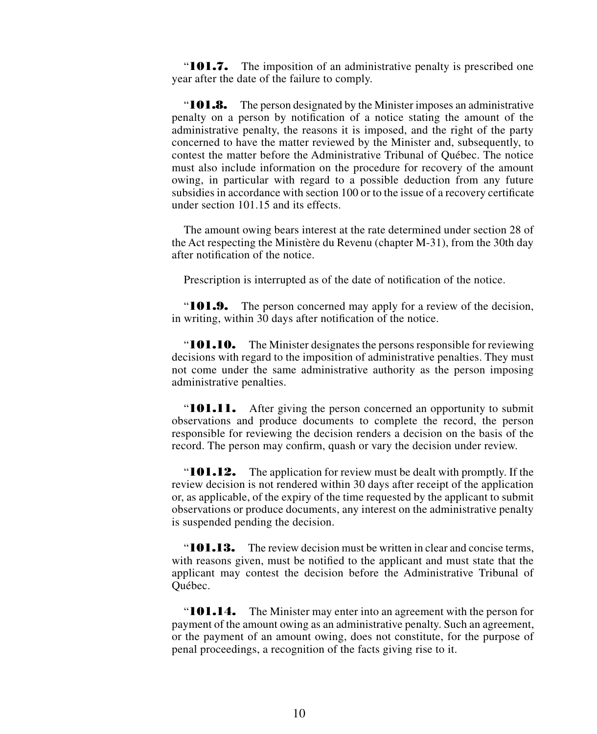"**101.7.** The imposition of an administrative penalty is prescribed one year after the date of the failure to comply.

"**101.8.** The person designated by the Minister imposes an administrative penalty on a person by notification of a notice stating the amount of the administrative penalty, the reasons it is imposed, and the right of the party concerned to have the matter reviewed by the Minister and, subsequently, to contest the matter before the Administrative Tribunal of Québec. The notice must also include information on the procedure for recovery of the amount owing, in particular with regard to a possible deduction from any future subsidies in accordance with section 100 or to the issue of a recovery certificate under section 101.15 and its effects.

The amount owing bears interest at the rate determined under section 28 of the Act respecting the Ministère du Revenu (chapter M-31), from the 30th day after notification of the notice.

Prescription is interrupted as of the date of notification of the notice.

"**101.9.** The person concerned may apply for a review of the decision, in writing, within 30 days after notification of the notice.

"**101.10.** The Minister designates the persons responsible for reviewing decisions with regard to the imposition of administrative penalties. They must not come under the same administrative authority as the person imposing administrative penalties.

"**101.11.** After giving the person concerned an opportunity to submit observations and produce documents to complete the record, the person responsible for reviewing the decision renders a decision on the basis of the record. The person may confirm, quash or vary the decision under review.

"**101.12.** The application for review must be dealt with promptly. If the review decision is not rendered within 30 days after receipt of the application or, as applicable, of the expiry of the time requested by the applicant to submit observations or produce documents, any interest on the administrative penalty is suspended pending the decision.

"101.13. The review decision must be written in clear and concise terms, with reasons given, must be notified to the applicant and must state that the applicant may contest the decision before the Administrative Tribunal of Québec.

"**101.14.** The Minister may enter into an agreement with the person for payment of the amount owing as an administrative penalty. Such an agreement, or the payment of an amount owing, does not constitute, for the purpose of penal proceedings, a recognition of the facts giving rise to it.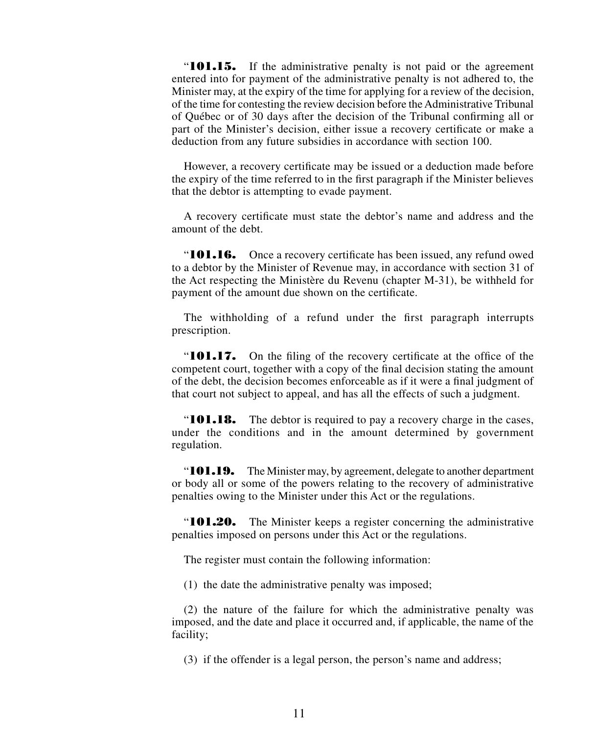"**101.15.** If the administrative penalty is not paid or the agreement entered into for payment of the administrative penalty is not adhered to, the Minister may, at the expiry of the time for applying for a review of the decision, of the time for contesting the review decision before the Administrative Tribunal of Québec or of 30 days after the decision of the Tribunal confirming all or part of the Minister's decision, either issue a recovery certificate or make a deduction from any future subsidies in accordance with section 100.

However, a recovery certificate may be issued or a deduction made before the expiry of the time referred to in the first paragraph if the Minister believes that the debtor is attempting to evade payment.

A recovery certificate must state the debtor's name and address and the amount of the debt.

"**101.16.** Once a recovery certificate has been issued, any refund owed to a debtor by the Minister of Revenue may, in accordance with section 31 of the Act respecting the Ministère du Revenu (chapter M-31), be withheld for payment of the amount due shown on the certificate.

The withholding of a refund under the first paragraph interrupts prescription.

"101.17. On the filing of the recovery certificate at the office of the competent court, together with a copy of the final decision stating the amount of the debt, the decision becomes enforceable as if it were a final judgment of that court not subject to appeal, and has all the effects of such a judgment.

"**101.18.** The debtor is required to pay a recovery charge in the cases, under the conditions and in the amount determined by government regulation.

" $101.19.$  The Minister may, by agreement, delegate to another department or body all or some of the powers relating to the recovery of administrative penalties owing to the Minister under this Act or the regulations.

"**101.20.** The Minister keeps a register concerning the administrative penalties imposed on persons under this Act or the regulations.

The register must contain the following information:

(1) the date the administrative penalty was imposed;

(2) the nature of the failure for which the administrative penalty was imposed, and the date and place it occurred and, if applicable, the name of the facility;

(3) if the offender is a legal person, the person's name and address;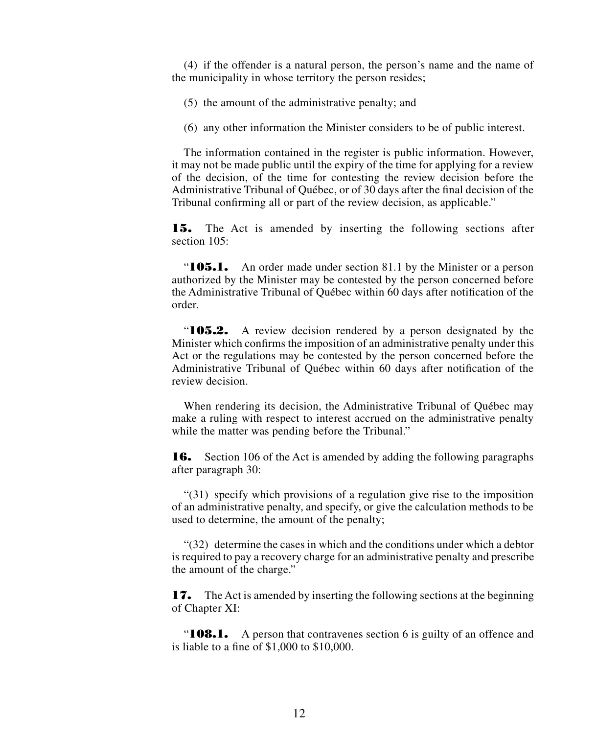(4) if the offender is a natural person, the person's name and the name of the municipality in whose territory the person resides;

(5) the amount of the administrative penalty; and

(6) any other information the Minister considers to be of public interest.

The information contained in the register is public information. However, it may not be made public until the expiry of the time for applying for a review of the decision, of the time for contesting the review decision before the Administrative Tribunal of Québec, or of 30 days after the final decision of the Tribunal confirming all or part of the review decision, as applicable."

15. The Act is amended by inserting the following sections after section  $105$ <sup>\*</sup>

"**105.1.** An order made under section 81.1 by the Minister or a person authorized by the Minister may be contested by the person concerned before the Administrative Tribunal of Québec within 60 days after notification of the order.

"105.2. A review decision rendered by a person designated by the Minister which confirms the imposition of an administrative penalty under this Act or the regulations may be contested by the person concerned before the Administrative Tribunal of Québec within 60 days after notification of the review decision.

When rendering its decision, the Administrative Tribunal of Québec may make a ruling with respect to interest accrued on the administrative penalty while the matter was pending before the Tribunal."

**16.** Section 106 of the Act is amended by adding the following paragraphs after paragraph 30:

"(31) specify which provisions of a regulation give rise to the imposition of an administrative penalty, and specify, or give the calculation methods to be used to determine, the amount of the penalty;

"(32) determine the cases in which and the conditions under which a debtor is required to pay a recovery charge for an administrative penalty and prescribe the amount of the charge."

17. The Act is amended by inserting the following sections at the beginning of Chapter XI:

"**108.1.** A person that contravenes section 6 is guilty of an offence and is liable to a fine of \$1,000 to \$10,000.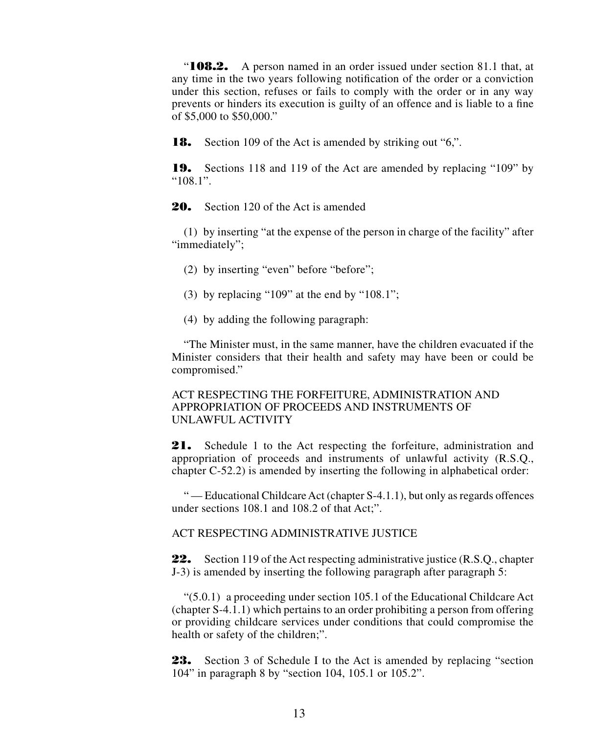"**108.2.** A person named in an order issued under section 81.1 that, at any time in the two years following notification of the order or a conviction under this section, refuses or fails to comply with the order or in any way prevents or hinders its execution is guilty of an offence and is liable to a fine of \$5,000 to \$50,000."

**18.** Section 109 of the Act is amended by striking out "6,".

19. Sections 118 and 119 of the Act are amended by replacing "109" by "108.1".

20. Section 120 of the Act is amended

(1) by inserting "at the expense of the person in charge of the facility" after "immediately";

(2) by inserting "even" before "before";

- (3) by replacing "109" at the end by "108.1";
- (4) by adding the following paragraph:

"The Minister must, in the same manner, have the children evacuated if the Minister considers that their health and safety may have been or could be compromised."

# ACT RESPECTING THE FORFEITURE, ADMINISTRATION AND APPROPRIATION OF PROCEEDS AND INSTRUMENTS OF UNLAWFUL ACTIVITY

21. Schedule 1 to the Act respecting the forfeiture, administration and appropriation of proceeds and instruments of unlawful activity (R.S.Q., chapter C-52.2) is amended by inserting the following in alphabetical order:

" — Educational Childcare Act (chapter S-4.1.1), but only as regards offences under sections 108.1 and 108.2 of that Act;".

ACT RESPECTING ADMINISTRATIVE JUSTICE

**22.** Section 119 of the Act respecting administrative justice (R.S.Q., chapter J-3) is amended by inserting the following paragraph after paragraph 5:

"(5.0.1) a proceeding under section 105.1 of the Educational Childcare Act (chapter S-4.1.1) which pertains to an order prohibiting a person from offering or providing childcare services under conditions that could compromise the health or safety of the children;".

23. Section 3 of Schedule I to the Act is amended by replacing "section 104" in paragraph 8 by "section 104, 105.1 or 105.2".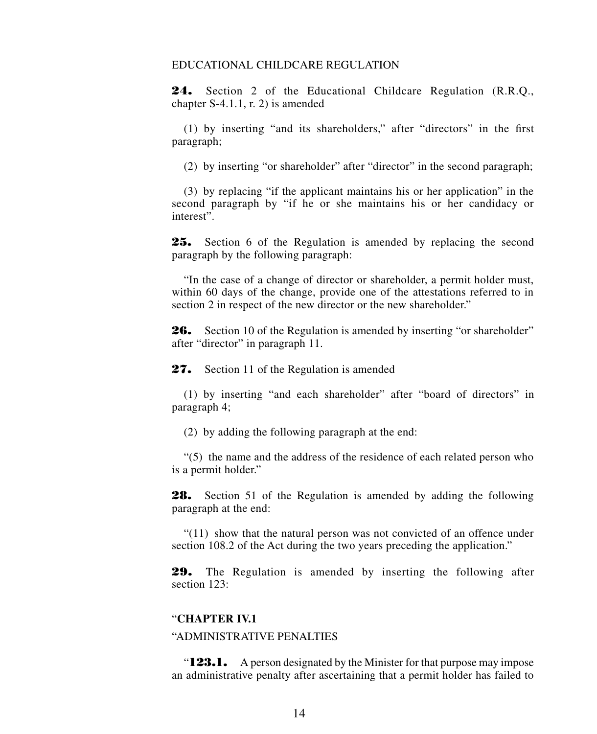# EDUCATIONAL CHILDCARE REGULATION

24. Section 2 of the Educational Childcare Regulation (R.R.O., chapter S-4.1.1, r. 2) is amended

(1) by inserting "and its shareholders," after "directors" in the first paragraph;

(2) by inserting "or shareholder" after "director" in the second paragraph;

(3) by replacing "if the applicant maintains his or her application" in the second paragraph by "if he or she maintains his or her candidacy or interest".

25. Section 6 of the Regulation is amended by replacing the second paragraph by the following paragraph:

"In the case of a change of director or shareholder, a permit holder must, within 60 days of the change, provide one of the attestations referred to in section 2 in respect of the new director or the new shareholder."

**26.** Section 10 of the Regulation is amended by inserting "or shareholder" after "director" in paragraph 11.

27. Section 11 of the Regulation is amended

(1) by inserting "and each shareholder" after "board of directors" in paragraph 4;

(2) by adding the following paragraph at the end:

"(5) the name and the address of the residence of each related person who is a permit holder."

28. Section 51 of the Regulation is amended by adding the following paragraph at the end:

"(11) show that the natural person was not convicted of an offence under section 108.2 of the Act during the two years preceding the application."

29. The Regulation is amended by inserting the following after section 123:

# "**CHAPTER IV.1**

## "ADMINISTRATIVE PENALTIES

"**123.1.** A person designated by the Minister for that purpose may impose an administrative penalty after ascertaining that a permit holder has failed to